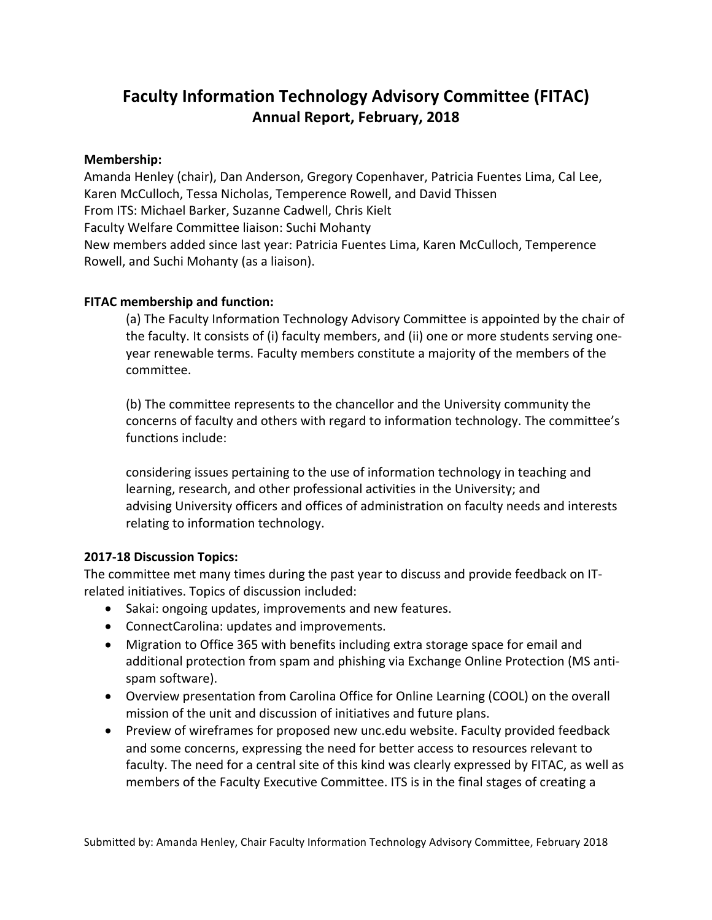## **Faculty Information Technology Advisory Committee (FITAC) Annual Report, February, 2018**

## **Membership:**

Amanda Henley (chair), Dan Anderson, Gregory Copenhaver, Patricia Fuentes Lima, Cal Lee, Karen McCulloch, Tessa Nicholas, Temperence Rowell, and David Thissen From ITS: Michael Barker, Suzanne Cadwell, Chris Kielt Faculty Welfare Committee liaison: Suchi Mohanty New members added since last year: Patricia Fuentes Lima, Karen McCulloch, Temperence Rowell, and Suchi Mohanty (as a liaison).

## **FITAC** membership and function:

(a) The Faculty Information Technology Advisory Committee is appointed by the chair of the faculty. It consists of (i) faculty members, and (ii) one or more students serving oneyear renewable terms. Faculty members constitute a majority of the members of the committee.

(b) The committee represents to the chancellor and the University community the concerns of faculty and others with regard to information technology. The committee's functions include:

considering issues pertaining to the use of information technology in teaching and learning, research, and other professional activities in the University; and advising University officers and offices of administration on faculty needs and interests relating to information technology.

## **2017-18 Discussion Topics:**

The committee met many times during the past year to discuss and provide feedback on ITrelated initiatives. Topics of discussion included:

- Sakai: ongoing updates, improvements and new features.
- ConnectCarolina: updates and improvements.
- Migration to Office 365 with benefits including extra storage space for email and additional protection from spam and phishing via Exchange Online Protection (MS antispam software).
- Overview presentation from Carolina Office for Online Learning (COOL) on the overall mission of the unit and discussion of initiatives and future plans.
- Preview of wireframes for proposed new unc.edu website. Faculty provided feedback and some concerns, expressing the need for better access to resources relevant to faculty. The need for a central site of this kind was clearly expressed by FITAC, as well as members of the Faculty Executive Committee. ITS is in the final stages of creating a